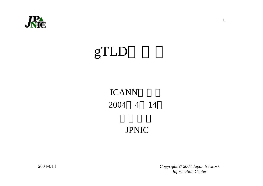

## gTLD

#### ICANN 2004 4 14

#### JPNIC

 *Copyright © 2004 Japan Network Information Center*

1

2004/4/14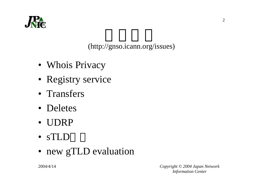

(http://gnso.icann.org/issues)

- Whois Privacy
- Registry service
- Transfers
- Deletes
- UDRP
- sTLD
- new gTLD evaluation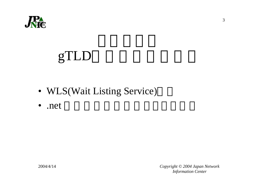

## gTLD

- WLS(Wait Listing Service)
- .net

 *Copyright © 2004 Japan Network Information Center*

2004/4/14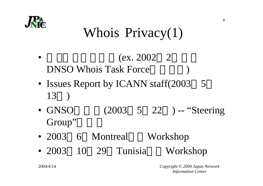

#### Whois Privacy(1)

- • $(ex. 2002 2)$ DNSO Whois Task Forcee )
- Issues Report by ICANN staff(2003 5 13 )
- GNSO (2003 5 22 ) -- "Steering Group"
- 2003 6 Montreal Workshop
- 2003 10 29 Tunisia Workshop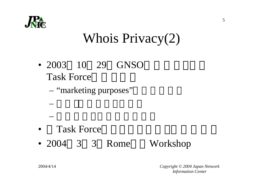

#### Whois Privacy(2)

- 2003 10 29 GNSOTask Force
	- "marketing purposes"

- •Task Force
- 2004 3 3 Rome Workshop

 *Copyright © 2004 Japan Network Information Center*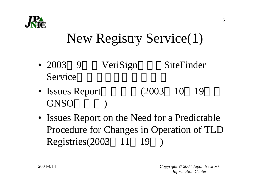

#### New Registry Service(1)

- 2003VeriSign SiteFinder Service
- Issues Report (2003 10 19 GNSO )
- Issues Report on the Need for a Predictable Procedure for Changes in Operation of TLD Registries(2003 11 19 )

2004/4/14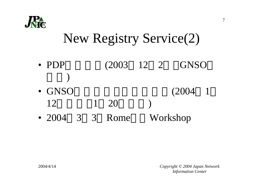

#### New Registry Service(2)

- PDP (2003 12 2 GNSO )
- GNSO (2004 1 121 20 )
- 20043 3 Rome Workshop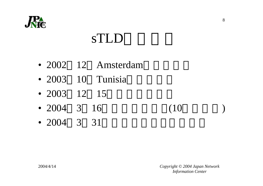

### sTLD

- 2002 12 Amsterdam
- 2003 10 Tunisia
- 2003 12 15
- 2004 3 16 (10)
- 2004 3 31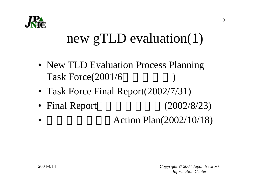

#### new gTLD evaluation(1)

- New TLD Evaluation Process Planning Task Force(2001/6
- Task Force Final Report(2002/7/31)
- Final Report (2002/8/23)
- •Action Plan(2002/10/18)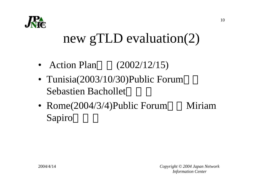

### new gTLD evaluation(2)

- Action Plan(2002/12/15)
- Tunisia(2003/10/30)Public Forum Sebastien Bachollet
- Rome(2004/3/4)Public Forum Miriam Sapiro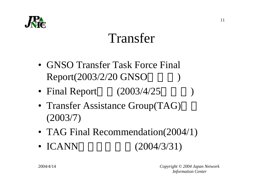

#### Transfer

- GNSO Transfer Task Force Final Report(2003/2/20 GNSO )
- Final Report (2003/4/25)
- Transfer Assistance Group(TAG) (2003/7)
- TAG Final Recommendation(2004/1)
- ICANN(2004/3/31)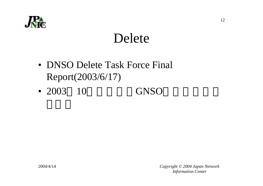

#### Delete

- DNSO Delete Task Force Final Report(2003/6/17)
- 2003GNSO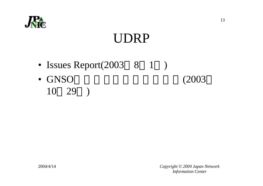

### UDRP

- Issues Report(2003 8 1 )
- GNSO (2003 10 29 )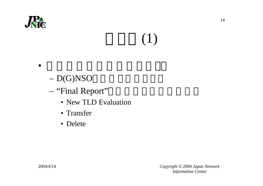

# (1)

•

- D(G)NSO
- – "Final Report"
	- New TLD Evaluation
	- Transfer
	- Delete